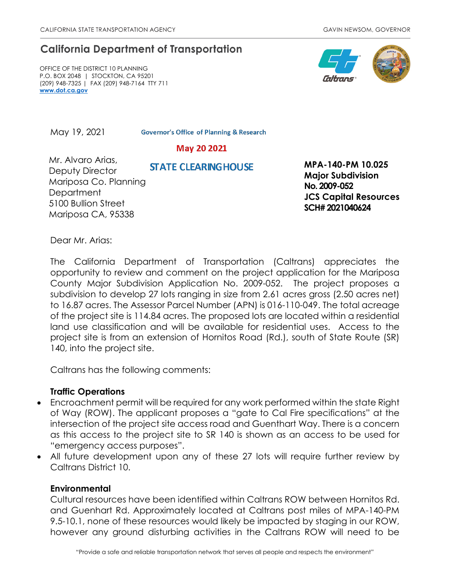# **California Department of Transportation**

OFFICE OF THE DISTRICT 10 PLANNING P.O. BOX 2048 | STOCKTON, CA 95201 (209) 948-7325 | FAX (209) 948-7164 TTY 711 **[www.dot.ca.gov](http://www.dot.ca.gov/)**



May 19, 2021

**Governor's Office of Planning & Research** 

## May 20 2021

Mr. Alvaro Arias, Deputy Director Mariposa Co. Planning Department 5100 Bullion Street Mariposa CA, 95338

 **MPA-140-PM 10.025 Major Subdivision No. 2009-052 JCS Capital Resources SCH# 2021040624**

Dear Mr. Arias:

The California Department of Transportation (Caltrans) appreciates the opportunity to review and comment on the project application for the Mariposa County Major Subdivision Application No. 2009-052. The project proposes a subdivision to develop 27 lots ranging in size from 2.61 acres gross (2.50 acres net) to 16.87 acres. The Assessor Parcel Number (APN) is 016-110-049. The total acreage of the project site is 114.84 acres. The proposed lots are located within a residential land use classification and will be available for residential uses.Access to the project site is from an extension of Hornitos Road (Rd.), south of State Route (SR) 140, into the project site.

Caltrans has the following comments:

### **Traffic Operations**

- Encroachment permit will be required for any work performed within the state Right of Way (ROW). The applicant proposes a "gate to Cal Fire specifications" at the intersection of the project site access road and Guenthart Way. There is a concern as this access to the project site to SR 140 is shown as an access to be used for "emergency access purposes".
- All future development upon any of these 27 lots will require further review by Caltrans District 10.

#### **Environmental**

Cultural resources have been identified within Caltrans ROW between Hornitos Rd. and Guenhart Rd. Approximately located at Caltrans post miles of MPA-140-PM 9.5-10.1, none of these resources would likely be impacted by staging in our ROW, however any ground disturbing activities in the Caltrans ROW will need to be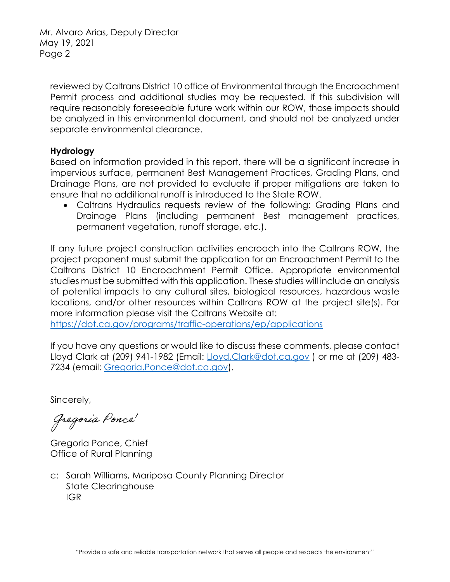Mr. Alvaro Arias, Deputy Director May 19, 2021 Page 2

reviewed by Caltrans District 10 office of Environmental through the Encroachment Permit process and additional studies may be requested. If this subdivision will require reasonably foreseeable future work within our ROW, those impacts should be analyzed in this environmental document, and should not be analyzed under separate environmental clearance.

### **Hydrology**

Based on information provided in this report, there will be a significant increase in impervious surface, permanent Best Management Practices, Grading Plans, and Drainage Plans, are not provided to evaluate if proper mitigations are taken to ensure that no additional runoff is introduced to the State ROW.

• Caltrans Hydraulics requests review of the following: Grading Plans and Drainage Plans (including permanent Best management practices, permanent vegetation, runoff storage, etc.).

If any future project construction activities encroach into the Caltrans ROW, the project proponent must submit the application for an Encroachment Permit to the Caltrans District 10 Encroachment Permit Office. Appropriate environmental studies must be submitted with this application. These studies will include an analysis of potential impacts to any cultural sites, biological resources, hazardous waste locations, and/or other resources within Caltrans ROW at the project site(s). For more information please visit the Caltrans Website at:

<https://dot.ca.gov/programs/traffic-operations/ep/applications>

If you have any questions or would like to discuss these comments, please contact Lloyd Clark at (209) 941-1982 (Email: [Lloyd.Clark@dot.ca.gov](mailto:Lloyd.Clark@dot.ca.gov) ) or me at (209) 483- 7234 (email: [Gregoria.Ponce@dot.ca.gov\)](mailto:Gregoria.Ponce@dot.ca.gov).

Sincerely,

Gregoria Ponce<sup>'</sup>

Gregoria Ponce, Chief Office of Rural Planning

c: Sarah Williams, Mariposa County Planning Director State Clearinghouse IGR